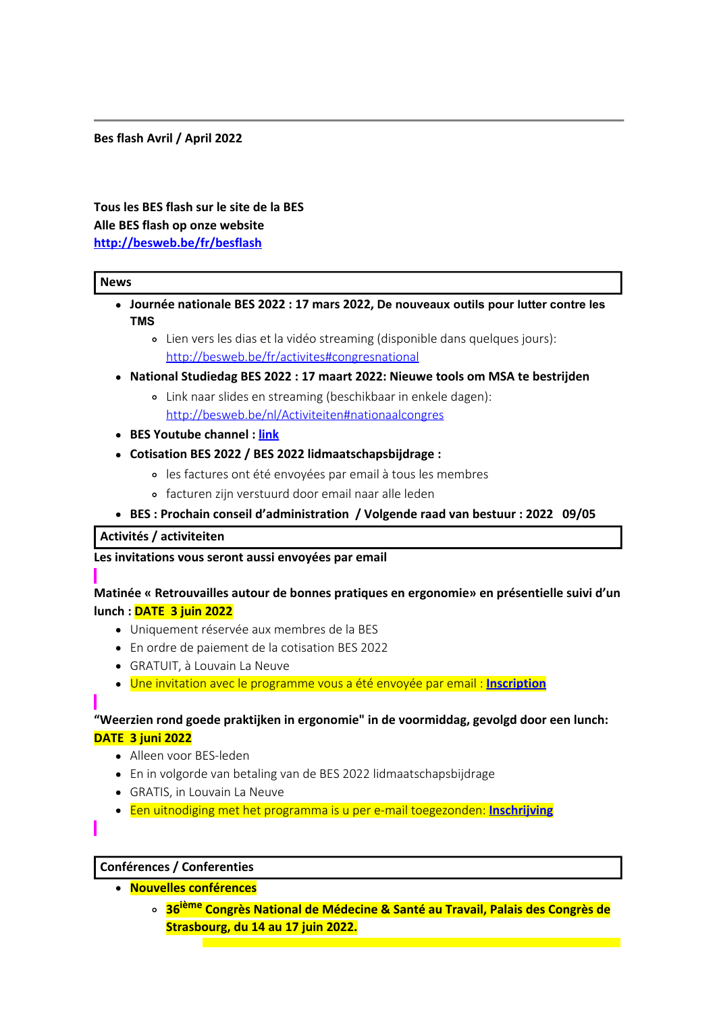#### **Bes flash Avril / April 2022**

# **Tous les BES flash sur le site de la BES Alle BES flash op onze website <http://besweb.be/fr/besflash>**

#### **News**

- **Journée nationale BES 2022 : 17 mars 2022, De nouveaux outils pour lutter contre les TMS**
	- Lien vers les dias et la vidéo streaming (disponible dans quelques jours): <http://besweb.be/fr/activites#congresnational>
- **National Studiedag BES 2022 : 17 maart 2022: Nieuwe tools om MSA te bestrijden**
	- Link naar slides en streaming (beschikbaar in enkele dagen): <http://besweb.be/nl/Activiteiten#nationaalcongres>
- **BES Youtube channel : [link](https://www.youtube.com/channel/UCCySHCR0oCk9OUmy5gMTZ7w)**
- **Cotisation BES 2022 / BES 2022 lidmaatschapsbijdrage :**
	- les factures ont été envoyées par email à tous les membres
	- facturen zijn verstuurd door email naar alle leden
- **BES : Prochain conseil d'administration / Volgende raad van bestuur : 2022 09/05**

#### **Activités / activiteiten**

#### **Les invitations vous seront aussi envoyées par email**

# **Matinée « Retrouvailles autour de bonnes pratiques en ergonomie» en présentielle suivi d'un lunch : DATE 3 juin 2022**

- Uniquement réservée aux membres de la BES
- En ordre de paiement de la cotisation BES 2022
- GRATUIT, à Louvain La Neuve
- Une invitation avec le programme vous a été envoyée par email : **[Inscription](https://forms.gle/VpYAQLp45hMAUgAt6)**

# **"Weerzien rond goede praktijken in ergonomie" in de voormiddag, gevolgd door een lunch: DATE 3 juni 2022**

- Alleen voor BES-leden
- En in volgorde van betaling van de BES 2022 lidmaatschapsbijdrage
- GRATIS, in Louvain La Neuve
- Een uitnodiging met het programma is u per e-mail toegezonden: **[Inschrijving](https://forms.gle/VpYAQLp45hMAUgAt6)**

#### **Conférences / Conferenties**

- **Nouvelles conférences**
	- **36ième Congrès National de Médecine & Santé au Travail, Palais des Congrès de Strasbourg, du 14 au 17 juin 2022.**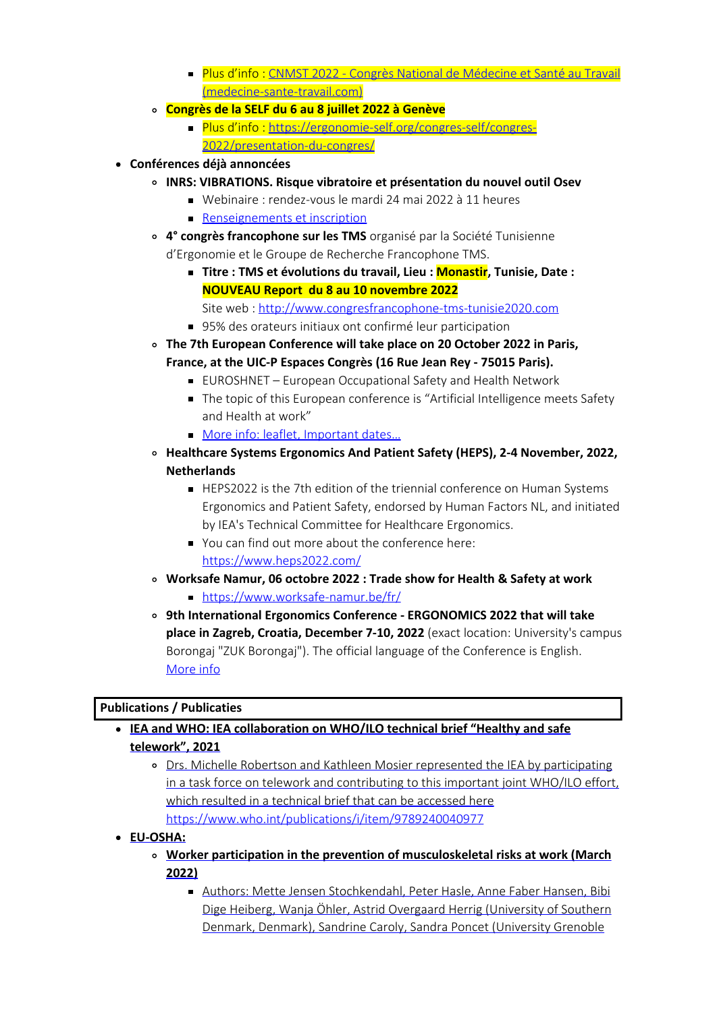- **Plus d'info : [CNMST 2022 Congrès National de Médecine et Santé au Travail](https://www.medecine-sante-travail.com/)** [\(medecine-sante-travail.com\)](https://www.medecine-sante-travail.com/)
- **Congrès de la SELF du 6 au 8 juillet 2022 à Genève**
	- Plus d'info : [https://ergonomie-self.org/congres-self/congres-](https://ergonomie-self.org/congres-self/congres-2022/presentation-du-congres/)[2022/presentation-du-congres/](https://ergonomie-self.org/congres-self/congres-2022/presentation-du-congres/)
- **Conférences déjà annoncées**
	- **INRS: VIBRATIONS. Risque vibratoire et présentation du nouvel outil Osev**
		- Webinaire : rendez-vous le mardi 24 mai 2022 à 11 heures
			- **[Renseignements et inscription](https://hubtr.kiosque.inrs.fr/clic205/133/81390/14?k=14569204eaf7105955f761dff80c7aa0)**
	- **4° congrès francophone sur les TMS** organisé par la Société Tunisienne d'Ergonomie et le Groupe de Recherche Francophone TMS.
		- **Titre : TMS et évolutions du travail, Lieu : Monastir, Tunisie, Date : NOUVEAU Report du 8 au 10 novembre 2022**
			- Site web : [http://www.congresfrancophone-tms-tunisie2020.com](http://www.congresfrancophone-tms-tunisie2020.com/)
		- 95% des orateurs initiaux ont confirmé leur participation
	- **The 7th European Conference will take place on 20 October 2022 in Paris, France, at the UIC-P Espaces Congrès (16 Rue Jean Rey - 75015 Paris).**
		- EUROSHNET European Occupational Safety and Health Network
		- The topic of this European conference is "Artificial Intelligence meets Safety and Health at work"
		- More info: leaflet, Important dates...
	- **Healthcare Systems Ergonomics And Patient Safety (HEPS), 2-4 November, 2022, Netherlands**
		- HEPS2022 is the 7th edition of the triennial conference on Human Systems Ergonomics and Patient Safety, endorsed by Human Factors NL, and initiated by IEA's Technical Committee for Healthcare Ergonomics.
		- You can find out more about the conference here: <https://www.heps2022.com/>
	- **Worksafe Namur, 06 octobre 2022 : Trade show for Health & Safety at work**
		- <https://www.worksafe-namur.be/fr/>
	- **9th International Ergonomics Conference ERGONOMICS 2022 that will take place in Zagreb, Croatia, December 7-10, 2022** (exact location: University's campus Borongaj "ZUK Borongaj"). The official language of the Conference is English. [More info](http://www.h-e-d.hr/conferences.htm)

## **Publications / Publicaties**

- **IEA and WHO: IEA collaboration on WHO/ILO technical brief "Healthy and safe telework", 2021**
	- Drs. Michelle Robertson and Kathleen Mosier represented the IEA by participating in a task force on telework and contributing to this important joint WHO/ILO effort, which resulted in a technical brief that can be accessed here <https://www.who.int/publications/i/item/9789240040977>

#### **EU-OSHA:**

- **Worker participation in the prevention of musculoskeletal risks at work (March 2022)**
	- Authors: Mette Jensen Stochkendahl, Peter Hasle, Anne Faber Hansen, Bibi Dige Heiberg, Wanja Öhler, Astrid Overgaard Herrig (University of Southern Denmark, Denmark), Sandrine Caroly, Sandra Poncet (University Grenoble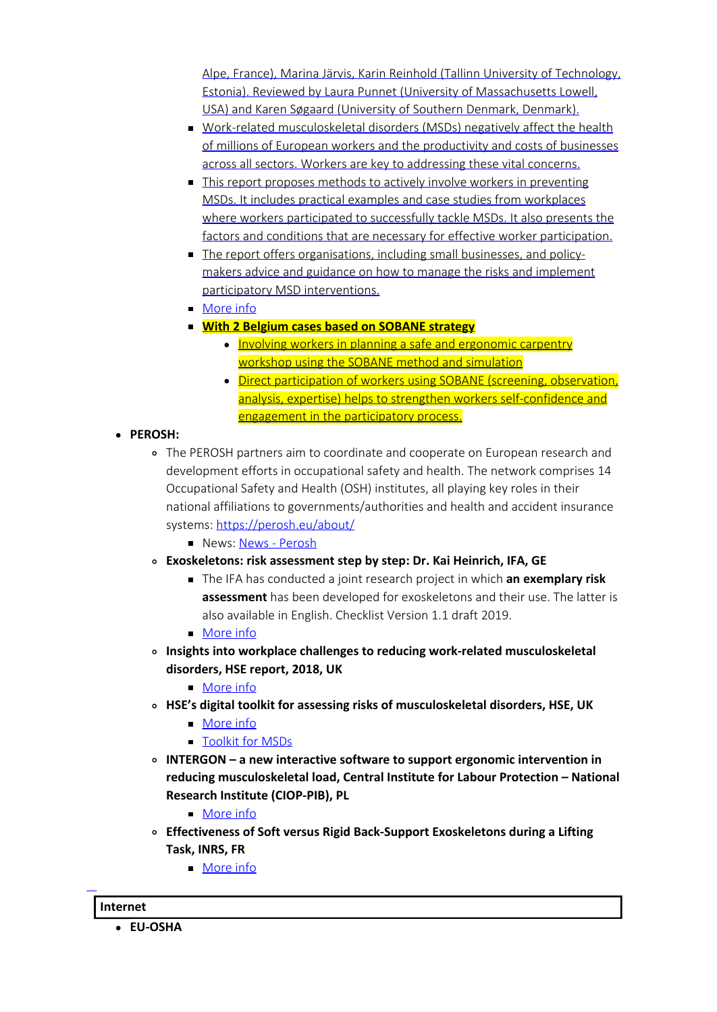Alpe, France), Marina Järvis, Karin Reinhold (Tallinn University of Technology, Estonia). Reviewed by Laura Punnet (University of Massachusetts Lowell, USA) and Karen Søgaard (University of Southern Denmark, Denmark).

- Work-related musculoskeletal disorders (MSDs) negatively affect the health of millions of European workers and the productivity and costs of businesses across all sectors. Workers are key to addressing these vital concerns.
- This report proposes methods to actively involve workers in preventing MSDs. It includes practical examples and case studies from workplaces where workers participated to successfully tackle MSDs. It also presents the factors and conditions that are necessary for effective worker participation.
- The report offers organisations, including small businesses, and policymakers advice and guidance on how to manage the risks and implement participatory MSD interventions.
- [More info](https://osha.europa.eu/en/publications/worker-participation-prevention-musculoskeletal-risks-work-0)
- **With 2 Belgium cases based on SOBANE strategy**
	- Involving workers in planning a safe and ergonomic carpentry workshop using the SOBANE method and simulation
	- Direct participation of workers using SOBANE (screening, observation, analysis, expertise) helps to strengthen workers self-confidence and engagement in the participatory process.

# **PEROSH:**

- The PEROSH partners aim to coordinate and cooperate on European research and development efforts in occupational safety and health. The network comprises 14 Occupational Safety and Health (OSH) institutes, all playing key roles in their national affiliations to governments/authorities and health and accident insurance systems:<https://perosh.eu/about/>
	- **News: [News Perosh](https://perosh.eu/news/)**
- **Exoskeletons: risk assessment step by step: Dr. Kai Heinrich, IFA, GE**
	- The IFA has conducted a joint research project in which **an exemplary risk assessment** has been developed for exoskeletons and their use. The latter is also available in English. Checklist Version 1.1 draft 2019.
	- **[More info](https://perosh.eu/news/exoskeletons-risk-assessment-step-by-step/?utm_source=rss&utm_medium=rss&utm_campaign=exoskeletons-risk-assessment-step-by-step&utm_source=PEROSH&utm_campaign=96cb2bad71-EMAIL_CAMPAIGN_2020_11_10_09_25_COPY_01&utm_medium=email&utm_term=0_b178fb53f1-96cb2bad71-254623237)**
- **Insights into workplace challenges to reducing work-related musculoskeletal disorders, HSE report, 2018, UK**
	- [More info](https://perosh.eu/news/insights-into-workplace-challenges/?utm_source=rss&utm_medium=rss&utm_campaign=insights-into-workplace-challenges&utm_source=PEROSH&utm_campaign=96cb2bad71-EMAIL_CAMPAIGN_2020_11_10_09_25_COPY_01&utm_medium=email&utm_term=0_b178fb53f1-96cb2bad71-254623237)
- **HSE's digital toolkit for assessing risks of musculoskeletal disorders, HSE, UK**
	- [More info](https://perosh.eu/news/digital-toolkit/?utm_source=rss&utm_medium=rss&utm_campaign=digital-toolkit&utm_source=PEROSH&utm_campaign=96cb2bad71-EMAIL_CAMPAIGN_2020_11_10_09_25_COPY_01&utm_medium=email&utm_term=0_b178fb53f1-96cb2bad71-254623237)
	- **[Toolkit for MSDs](https://www.hse.gov.uk/msd/toolkit.htm)**
- **INTERGON a new interactive software to support ergonomic intervention in reducing musculoskeletal load, Central Institute for Labour Protection – National Research Institute (CIOP-PIB), PL**
	- **[More info](https://perosh.eu/news/intergon/?utm_source=rss&utm_medium=rss&utm_campaign=intergon&utm_source=PEROSH&utm_campaign=96cb2bad71-EMAIL_CAMPAIGN_2020_11_10_09_25_COPY_01&utm_medium=email&utm_term=0_b178fb53f1-96cb2bad71-254623237)**
- **Effectiveness of Soft versus Rigid Back-Support Exoskeletons during a Lifting Task, INRS, FR**
	- [More info](https://perosh.eu/news/effectiveness-soft-versus-rigid-back-support-lifting-task/?utm_source=rss&utm_medium=rss&utm_campaign=effectiveness-soft-versus-rigid-back-support-lifting-task&utm_source=PEROSH&utm_campaign=96cb2bad71-EMAIL_CAMPAIGN_2020_11_10_09_25_COPY_01&utm_medium=email&utm_term=0_b178fb53f1-96cb2bad71-254623237)

## **Internet**

L

**EU-OSHA**